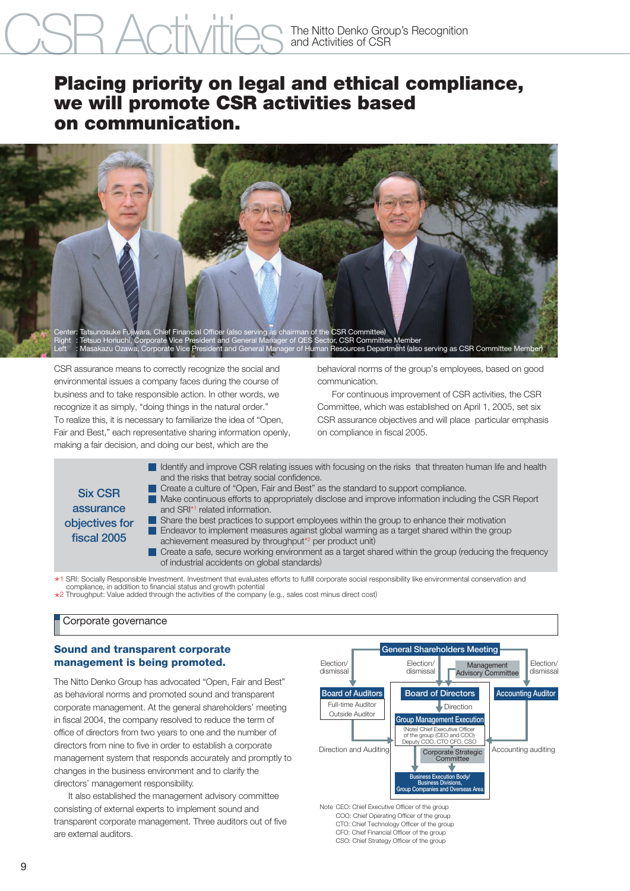# CSR ACTIVITIES The Nitto Denko Group's Recognition

# **Placing priority on legal and ethical compliance, we will promote CSR activities based on communication.**



CSR assurance means to correctly recognize the social and environmental issues a company faces during the course of business and to take responsible action. In other words, we recognize it as simply, "doing things in the natural order." To realize this, it is necessary to familiarize the idea of "Open, Fair and Best," each representative sharing information openly, making a fair decision, and doing our best, which are the

behavioral norms of the group's employees, based on good communication.

 For continuous improvement of CSR activities, the CSR Committee, which was established on April 1, 2005, set six CSR assurance objectives and will place particular emphasis on compliance in fiscal 2005.



\* compliance, in addition to financial status and growth potential \*1 SRI: Socially Responsible Investment. Investment that evaluates efforts to fulfill corporate social responsibility like environmental conservation and

\* 2 Throughput: Value added through the activities of the company (e.g., sales cost minus direct cost)

# Corporate governance

# **Sound and transparent corporate management is being promoted.**

The Nitto Denko Group has advocated "Open, Fair and Best" as behavioral norms and promoted sound and transparent corporate management. At the general shareholders' meeting in fiscal 2004, the company resolved to reduce the term of office of directors from two years to one and the number of directors from nine to five in order to establish a corporate management system that responds accurately and promptly to changes in the business environment and to clarify the directors' management responsibility.

 It also established the management advisory committee consisting of external experts to implement sound and transparent corporate management. Three auditors out of five are external auditors.



Note CEO: Chief Executive Officer of the group COO: Chief Operating Officer of the group CTO: Chief Technology Officer of the group CFO: Chief Financial Officer of the group CSO: Chief Strategy Officer of the group